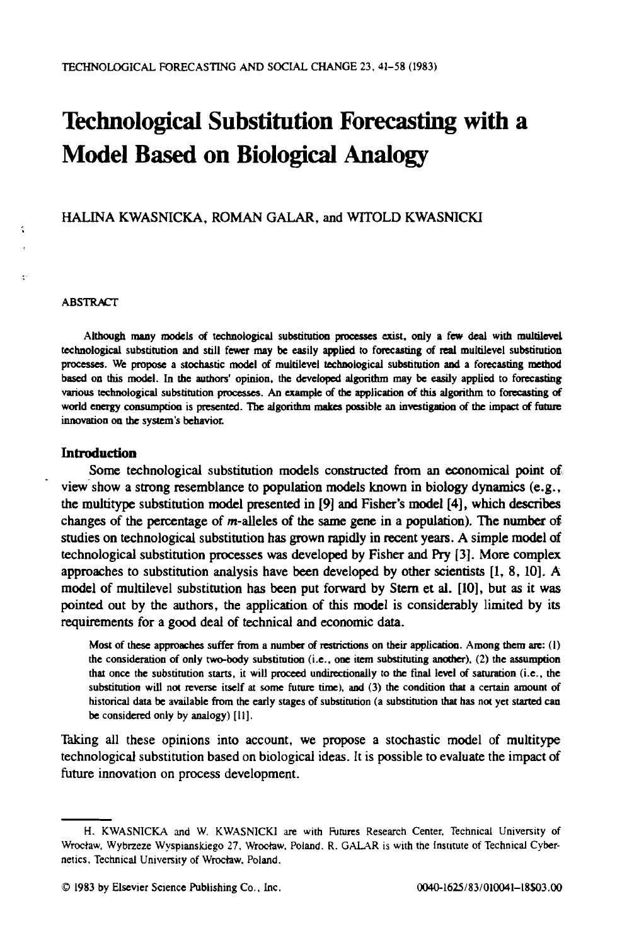# **Technological Substitution Forecasting with a Model Based on Biological Analogy**

## HALZNA KWASNICKA, **ROMAN GALAR,** and **WITOLD** KWASNICKI

#### **ABSTRACT**

Although many models of technological substitution processes exist, only a few deal with multilevel technological substitution and still fewer **may** be easily applied to forecasting **of** real multilevel substitution processes. We propose a stochastic model of multilevel techlogical substitution **ad** a forecasting **method**  based on this model. **in** the authors' opinion, the developed algorithm may be easily applied to forecasting various technological substitution **processes.** An example **of** the application **of** this algorithm to forecasting **of**  world energy consumption is presented. **The** algorithm **makes** possible an investigation **of the** impact **of** future innovation on **the** system's behavior.

### **Introduction**

Some technological substitution models constructed from an economical point of view show a strong resemblance to population models known in biology dynamics (e.g., the multitype substitution model presented in [9] and Fisher's model [4], which describes changes of the percentage of m-alleles of the **same** gene in a population). The number 05 studies on technological substitution has grown rapidly in recent years. A simple model of technological substitution pracesses **was** developed by Fisher and **Ry 131.** More complex approaches to substitution analysis have been developed by other scientists [I, 8, 101. **A**  model of multilevel substitution has been put forward by Stern et **al.** [lo], but as it was pointed out by the authors, the application of this model is considerably limited by its requirements for a **good** deal of technical and economic data.

Most of these approaches suffer **from** a number of restrictions on their application. Among them **arc:** (1) the consideration of only two-body substitution (i.e., one item substituting another), (2) the assumption that once the substitution starts, it will proceed undirectionally to the final level of saturation (i.e., the substitution will not reverse itself at some future time), and (3) the condition that a certain amount of historical **data** be available **from** the early stages of subsutution (a substitution that has not yet started caa be considered only by analogy) [Ill.

Taking all these opinions into account, we propose a stochastic model of multitype technological substitution based on biological ideas. It is possible to evaluate the impact of future innovation on process development.

H. KWASNICKA and W. KWASNICKI are with Rtures Research Center, Technical University of Wrocław. Wybrzeze Wyspianskiego 27. Wrocław. Poland. R. GALAR is with the Institute of Technical Cybernetics, Technical University of Wrocław, Poland.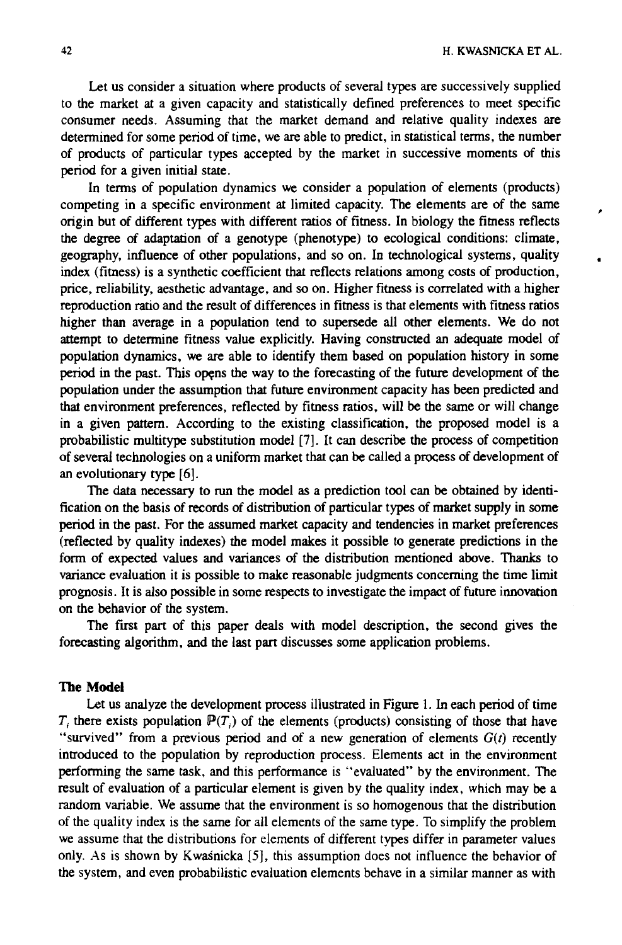Let us consider a situation where products of several types are successively supplied to the market at a given capacity and statistically defined preferences to meet specific consumer needs. Assuming that the market demand and relative quality indexes are determined for some period of time, we are able to predict, in statistical terms, the number of products of particular types accepted by the market in successive moments of this period for a given initial state.

In terms of population dynamics we consider a population of elements (products) competing in a specific environment at limited capacity. The elements are of the same origin but of different types with different ratios of fitness. In biology the fitness reflects the degree of adaptation of a genotype (phenotype) to ecological conditions: climate, geography, influence of other populations, and so on. In technological systems, quality index (fitness) is a synthetic coefficient that reflects relations among costs of production. price, reliability, aesthetic advantage, and so on. Higher fitness is correlated with a higher reproduction ratio and the result of differences in fitness is that elements with fitness ratios higher than average in a population tend to supersede **all** other elements. We do not attempt to determine fitness value explicitly. Having constructed an adequate model of population dynamics, we are able to identify them based on population history in some period in the past. This opens the way to the forecasting of the future development of the population under the assumption that future environment capacity has been predicted and that environment preferences, reflected by fitness ratios, will be the same or will change in a given pattern. According to the existing classification, the proposed model is a probabilistic multitype substitution model **[7].** It can describe the process of competition of several technologies on a uniform market that can be called a process of development of an evolutionary type *[6].* 

The **data** necessary to run the model as a prediction tool can be obtained by identification on the basis of records of distribution of particular types of market supply in some period in the past. For the assumed market capacity and tendencies in market preferences (reflected by quality indexes) the model makes it possible to generate predictions in the form of expected values and variances of the distribution mentioned above. Thanks to variance evaluation it is possible to make reasonable judgments concerning the time limit prognosis. It is also possible in some respects to investigate the impact of future innovation on the behavior of the system.

The **first** part of this paper deals with model description, the second gives the forecasting algorithm, and the last part discusses some application problems.

## **The Model**

Let us analyze the development process illustrated in Figure 1. In each period of time *T<sub>i</sub>* there exists population  $P(T_i)$  of the elements (products) consisting of those that have "survived" from a previous period and of a new generation of elements  $G(t)$  recently introduced to the population by reproduction process. Elements act in the environment performing the same task, and this performance is "evaluated" by the environment. The result of evaluation of a particular element is given by the quality index, which may be a random variable. We assume that the environment is so homogenous that the distribution of the quality index is the same for all elements of the same type. To simplify the problem we assume that the distributions for elements of different types differ in parameter values only. As is shown by Kwainicka **[5],** this assumption does not influence the behavior of the system, and even probabilistic evaluation elements behave in a similar manner as with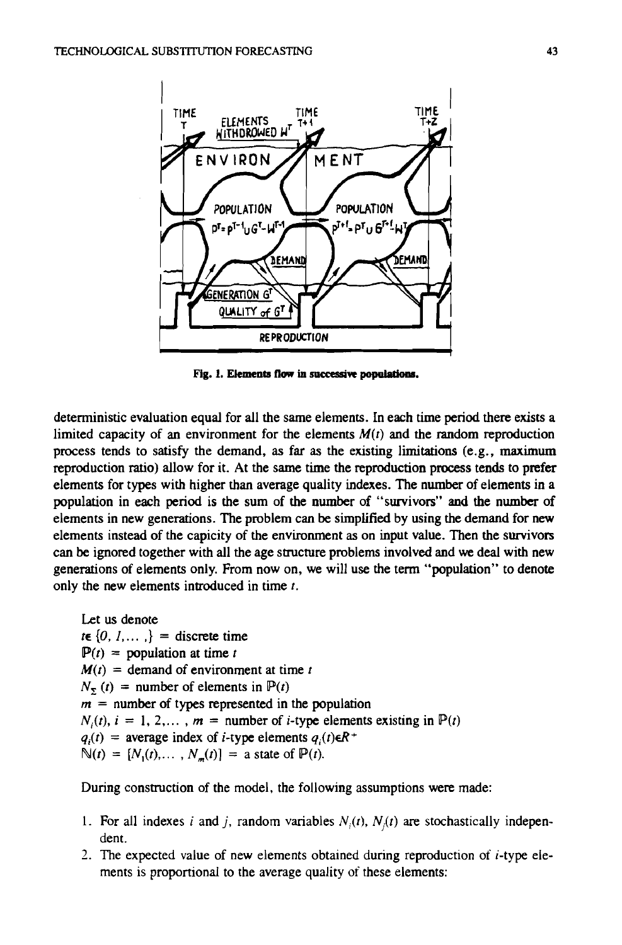

**Fig. 1. Elements flow in successive populations.** 

deterministic evaluation equal for all the same elements. In each time period there exists a limited capacity of an environment for the elements *M(r)* and the random reproduction process tends to satisfy the demand, **as** far **as** the existing limitations (e.g., maximum reproduction ratio) allow for it. At the same time the reproduction process tends to prefer elements for types with higher than average quality indexes. The number of elements in a population in each period is the sum of the number of "survivors" and the number of elements in new generations. The problem can be simplified by using the demand for new elements instead of the capicity of the environment **as** on input value. Then the survivors can be ignored together with all the age structure problems involved and we deal with new generations of elements only. From now on, we will use the term "population" to denote only the new elements introduced in time *t.* 

Let us denote  $t \in \{0, 1, \ldots\}$  = discrete time  $P(t) =$  population at time *t*  $M(t)$  = demand of environment at time *t*  $N_{\tau}$  (t) = number of elements in  $P(t)$  $m =$  number of types represented in the population  $N_i(t)$ ,  $i = 1, 2, \ldots, m =$  number of *i*-type elements existing in  $P(t)$  $q_i(t)$  = average index of *i*-type elements  $q_i(t) \in R^+$  $N(t) = [N_1(t), \ldots, N_m(t)] =$  a state of  $P(t)$ .

During construction of the model, the following assumptions were made:

- 1. For all indexes *i* and *j*, random variables  $N<sub>i</sub>(t)$ ,  $N<sub>i</sub>(t)$  are stochastically independent.
- 2. The expected value of new elements obtained during reproduction of  $i$ -type elements is proportional to the average quality of these elements: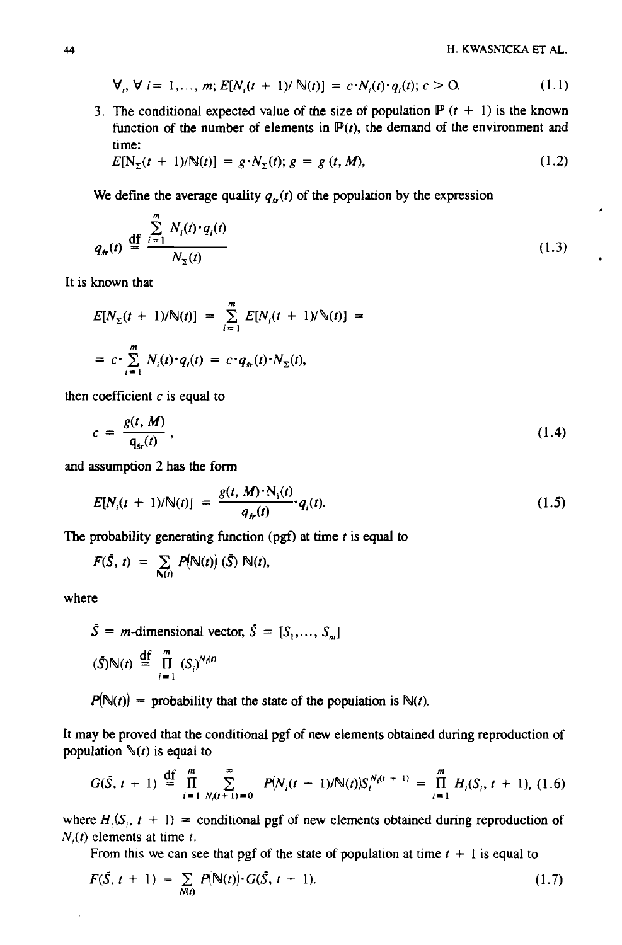$$
\forall_{i}, \forall i = 1,..., m; E[N_{i}(t + 1)/N(t)] = c \cdot N_{i}(t) \cdot q_{i}(t); c > 0.
$$
 (1.1)

3. The conditional expected value of the size of population  $P(t + 1)$  is the known function of the number of elements in  $P(t)$ , the demand of the environment and time:

$$
E[N_{\Sigma}(t + 1)/\mathbb{N}(t)] = g \cdot N_{\Sigma}(t); g = g(t, M), \qquad (1.2)
$$

We define the average quality  $q_{\theta}(t)$  of the population by the expression

$$
q_{tr}(t) \stackrel{\text{df}}{=} \frac{\sum\limits_{i=1}^{m} N_i(t) \cdot q_i(t)}{N_{\Sigma}(t)}
$$
(1.3)

It is known that

$$
E[N_{\Sigma}(t + 1)/N(t)] = \sum_{i=1}^{m} E[N_{i}(t + 1)/N(t)] =
$$
  
=  $c \cdot \sum_{i=1}^{m} N_{i}(t) \cdot q_{i}(t) = c \cdot q_{\sigma}(t) \cdot N_{\Sigma}(t),$ 

then coefficient  $c$  is equal to

$$
c = \frac{g(t, M)}{q_{sr}(t)} \,, \tag{1.4}
$$

and assumption *2* has the form

$$
E[N_i(t + 1)/N(t)] = \frac{g(t, M) \cdot N_i(t)}{q_{\sigma}(t)} \cdot q_i(t). \tag{1.5}
$$

The probability generating function (pgf) at time *t* is equal to

$$
F(\tilde{S}, t) = \sum_{\mathsf{N}(t)} P(\mathsf{N}(t)) (\tilde{S}) \mathsf{N}(t),
$$

where

$$
\bar{S} = m\text{-dimensional vector}, \ \bar{S} = [S_1, \dots, S_m]
$$
  

$$
(\bar{S})N(t) \stackrel{\text{df}}{=} \prod_{i=1}^{m} (S_i)^{N_i(t)}
$$

 $P(N(t)) =$  probability that the state of the population is  $N(t)$ .

It may be proved that the conditional pgf of new elements obtained during reproduction of population  $\mathbb{N}(t)$  is equal to

$$
G(\bar{S}, t + 1) \stackrel{\mathrm{df}}{=} \prod_{i=1}^{m} \sum_{N, (t+1)=0}^{\infty} P(N_i(t + 1)/\mathbb{N}(t)) S_i^{N,(t + 1)} = \prod_{i=1}^{m} H_i(S_i, t + 1), (1.6)
$$

where  $H_i(S_i, t + 1)$  = conditional pgf of new elements obtained during reproduction of  $N_i(t)$  elements at time t.

From this we can see that pgf of the state of population at time  $t + 1$  is equal to

$$
F(\bar{S}, t + 1) = \sum_{N(t)} P(N(t)) \cdot G(\bar{S}, t + 1).
$$
 (1.7)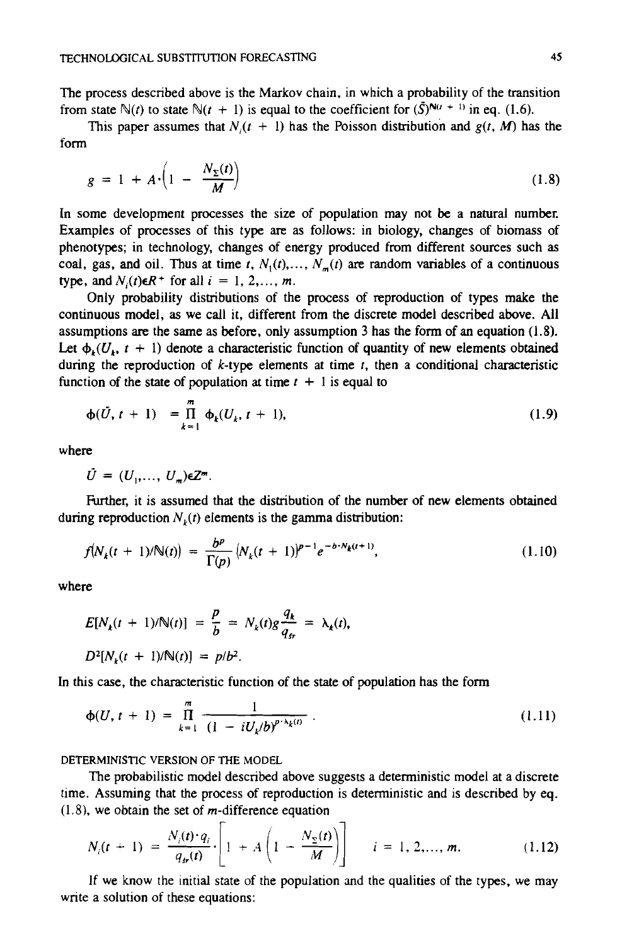The process described above is the Markov chain, in which a probability of the transition from state  $\mathbb{N}(t)$  to state  $\mathbb{N}(t + 1)$  is equal to the coefficient for  $(\tilde{S})^{\mathbb{N}(t + 1)}$  in eq. (1.6).

This paper assumes that  $N_i(t + 1)$  has the Poisson distribution and  $g(t, M)$  has the form

$$
g = 1 + A \cdot \left(1 - \frac{N_{\Sigma}(t)}{M}\right) \tag{1.8}
$$

In some development processes the size of population may not be a natural number. Examples of processes of this type are as follows: in biology, changes of biomass of phenotypes; in technology, changes of energy produced from different sources such as coal, gas, and oil. Thus at time t,  $N_1(t),..., N_m(t)$  are random variables of a continuous type, and  $N_i(t) \in R^+$  for all  $i = 1, 2, \ldots, m$ .

Only probability distributions of the process of reproduction of types make the continuous model, as we call it, different from the discrete model described above. All assumptions are the same as before, only assumption 3 has the form of an equation (1.8). Let  $\phi_{\nu}(U_t, t + 1)$  denote a characteristic function of quantity of new elements obtained during the reproduction of  $k$ -type elements at time  $t$ , then a conditional characteristic function of the state of population at time  $t + 1$  is equal to

$$
\phi(\bar{U}, t + 1) = \prod_{k=1}^{m} \phi_k(U_k, t + 1), \tag{1.9}
$$

where

$$
\tilde{U} = (U_1, \dots, U_m) \in \mathbb{Z}^m.
$$

Further, it is assumed that the distribution of the number of new elements obtained during reproduction  $N_k(t)$  elements is the gamma distribution:

$$
f(N_k(t+1)/N(t)) = \frac{b^p}{\Gamma(p)} \left( N_k(t+1) \right)^{p-1} e^{-b \cdot N_k(t+1)}, \qquad (1.10)
$$

where

$$
E[N_k(t+1)/N(t)] = \frac{p}{b} = N_k(t)g\frac{q_k}{q_{sr}} = \lambda_k(t)
$$
  

$$
D^2[N_k(t+1)/N(t)] = p/b^2.
$$

In this case, the characteristic function of the state of population has the form

$$
\phi(U, t + 1) = \prod_{k=1}^{m} \frac{1}{(1 - iU_k/b)^{\rho \cdot \lambda_k(t)}}.
$$
\n(1.11)

**DETERMINISTIC VERSION OF THE MODEL** 

The probabilistic model described above suggests a deterministic model at a discrete time. Assuming that the process of reproduction is deterministic and is described by eq.  $(1.8)$ , we obtain the set of *m*-difference equation

$$
N_i(t+1) = \frac{N_i(t) \cdot q_i}{q_{tr}(t)} \cdot \left[1 + A\left(1 - \frac{N_{\Sigma}(t)}{M}\right)\right] \qquad i = 1, 2, ..., m. \tag{1.12}
$$

If we know the initial state of the population and the qualities of the types, we may write a solution of these equations: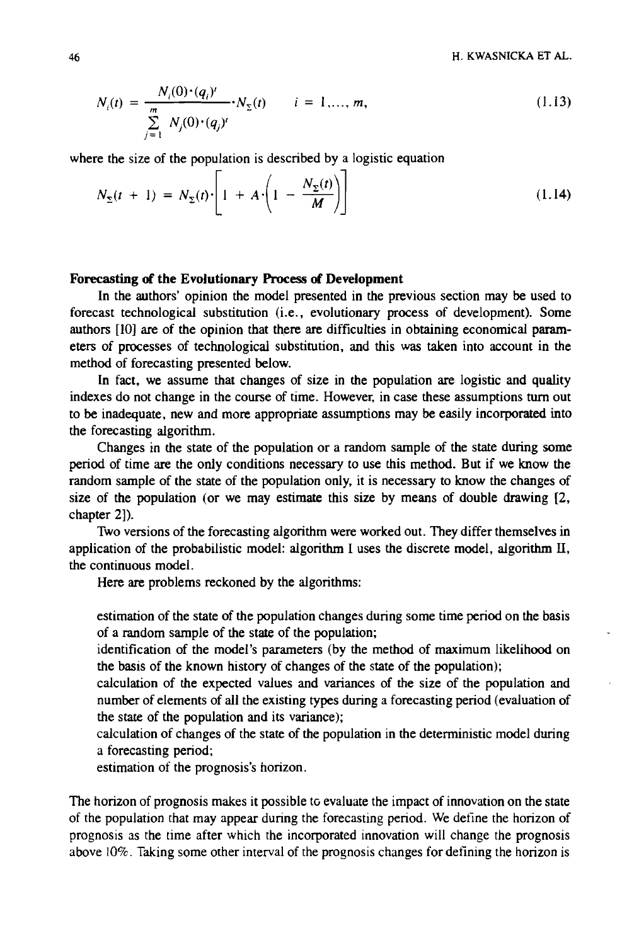$$
N_i(t) = \frac{N_i(0) \cdot (q_i)^t}{\sum_{j=1}^m N_j(0) \cdot (q_j)^t} \cdot N_{\Sigma}(t) \qquad i = 1, ..., m,
$$
\n(1.13)

where the size of the population is described by a logistic equation

$$
N_{\Sigma}(t + 1) = N_{\Sigma}(t) \cdot \left[ 1 + A \cdot \left( 1 - \frac{N_{\Sigma}(t)}{M} \right) \right]
$$
 (1.14)

#### **Forecasting of the Evolutionary Process of Development**

In the authors' opinion the model presented in the previous section may be used to forecast technological substitution (i.e.. evolutionary process of development). Some authors [lo] are of the opinion that there are difficulties in obtaining economical parameters of processes of technological substitution, and this was taken into account in the method of forecasting presented below.

In fact, we assume that changes of size in the population are logistic and quality indexes do not change in the course of time. However, in case these assumptions turn out to be inadequate, new and more appropriate assumptions may be easily incorporated into the forecasting algorithm.

Changes in the state of the population or a random sample of the state during some period of time are the only conditions necessary to use this method. But if we know the random sample of the state of the population only, it is necessary to know the changes of size of the population (or we may estimate this size by means of double drawing  $[2, 1]$ chapter **21).** 

Two versions of the forecasting algorithm were worked out. They differ themselves in application of the probabilistic model: algorithm I uses the discrete model, algorithm **II,**  the continuous model.

Here are problems reckoned by the algorithms:

estimation of the state of the population changes during some time period on the basis of a random sample of the state of the population;

identification of the model's parameters (by the method of maximum likelihood on the basis of the known history of changes of the state of the population);

calculation of the expected values and variances of the size of the population and number of elements of all the existing types during a forecasting period (evaluation of the state of the population and its variance);

calculation of changes of the state of the population in the deterministic model during a forecasting period;

estimation of the prognosis's horizon.

The horizon of prognosis makes it possible to evaluate the impact of innovation on the state of the population that may appear during the forecasting period. We define the horizon of prognosis as the time after which the incorporated innovation will change the prognosis above 10%. Taking some other interval of the prognosis changes for defining the horizon is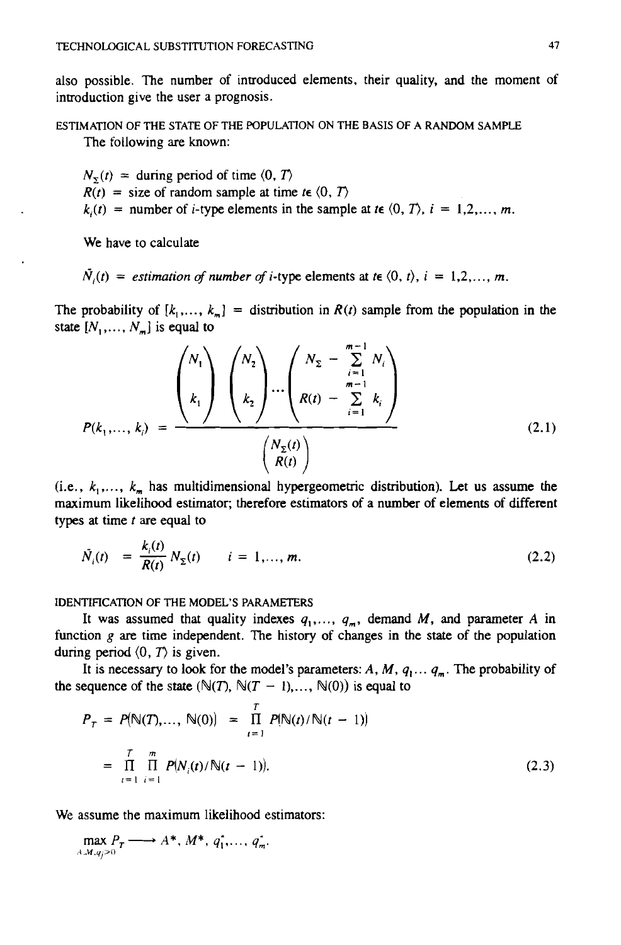also possible. The number of introduced elements, their quality, and the moment of introduction give the user a prognosis.

**ESTIMATION OF THE STATE OF THE POPULATION ON THE BASIS OF A RANDOM SAMPLE**  The following are known:

 $N_{\rm y}(t)$  = during period of time  $\langle 0, T \rangle$  $R(t) =$  size of random sample at time *t* $\epsilon$   $\langle 0, T \rangle$  $k_i(t)$  = number of *i*-type elements in the sample at *t* $\epsilon$   $(0, T)$ ,  $i = 1, 2, ..., m$ .

We have to calculate

 $\tilde{N}_i(t) =$  *estimation of number of i-type elements at te*  $\langle 0, t \rangle$ ,  $i = 1, 2, ..., m$ .

The probability of  $[k_1, \ldots, k_m]$  = distribution in  $R(t)$  sample from the population in the state  $[N_1, \ldots, N_m]$  is equal to

$$
P(k_1, \ldots, k_i) = \frac{\begin{pmatrix} N_1 \\ k_1 \end{pmatrix} \begin{pmatrix} N_2 \\ k_2 \end{pmatrix} \cdots \begin{pmatrix} N_2 - \sum_{i=1}^{m-1} N_i \\ R(t) - \sum_{i=1}^{m-1} k_i \\ \vdots \end{pmatrix}}{\begin{pmatrix} N_{\Sigma}(t) \\ R(t) \end{pmatrix}}
$$
(2.1)

 $(i.e., k_1, \ldots, k_m)$  has multidimensional hypergeometric distribution). Let us assume the maximum likelihood estimator; therefore estimators of a number of elements of different types at time *t* are equal to

$$
\tilde{N}_i(t) = \frac{k_i(t)}{R(t)} N_{\Sigma}(t) \qquad i = 1,..., m. \qquad (2.2)
$$

## **IDENTIFICATION OF THE MODEL'S PARAMETERS**

It was assumed that quality indexes  $q_1, \ldots, q_m$ , demand *M*, and parameter *A* in function  $g$  are time independent. The history of changes in the state of the population during period  $\langle 0, T \rangle$  is given.

It is necessary to look for the model's parameters: A, M,  $q_1 \ldots q_m$ . The probability of the sequence of the state  $(N(T), N(T - 1), \ldots, N(0))$  is equal to

$$
P_T = P(N(T), ..., N(0)) = \prod_{i=1}^{T} P(N(t)/N(t-1))
$$
  
=  $\prod_{i=1}^{T} \prod_{i=1}^{m} P(N_i(t)/N(t-1)).$  (2.3)

We assume the maximum likelihood estimators:

$$
= \prod_{r=1}^{n} \prod_{i=1}^{n} P(N_i(t) / N_1(t-1))
$$
  
assume the maximum likelihood e  

$$
\max_{A,M,q_j>0} P_T \longrightarrow A^*, M^*, q_1^*,..., q_m^*.
$$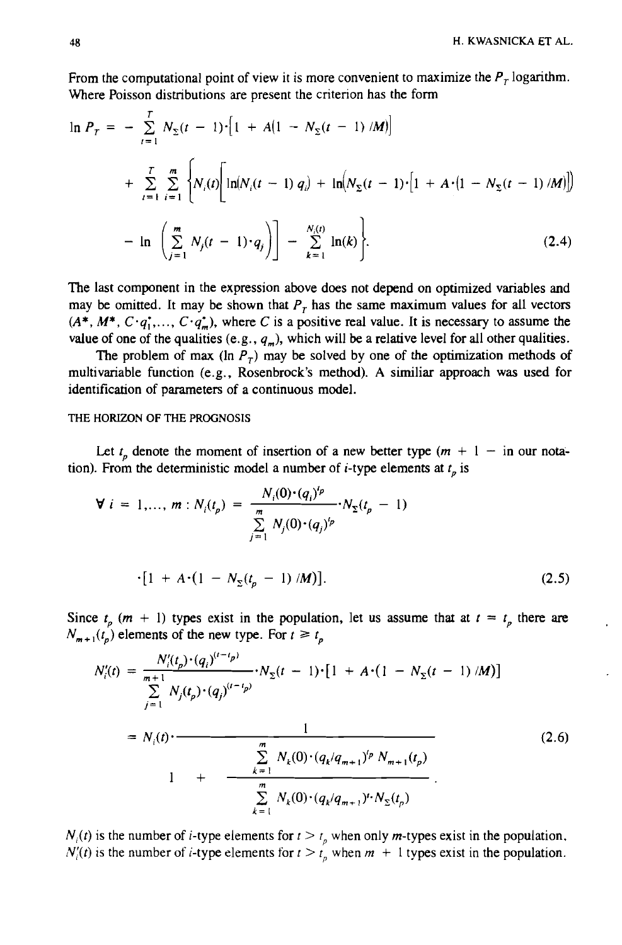From the computational point of view it is more convenient to maximize the  $P<sub>r</sub>$  logarithm. Where Poisson distributions are present the criterion has the form

$$
\ln P_T = -\sum_{i=1}^T N_{\Sigma}(t-1) \cdot [1 + A(1 - N_{\Sigma}(t-1)/M)]
$$
  
+ 
$$
\sum_{i=1}^T \sum_{i=1}^m \left\{ N_i(t) \left[ \ln(N_i(t-1) q_i) + \ln(N_{\Sigma}(t-1) \cdot [1 + A \cdot (1 - N_{\Sigma}(t-1)/M)] \right) - \ln \left( \sum_{j=1}^m N_j(t-1) \cdot q_j \right) \right] - \sum_{k=1}^{N_i(t)} \ln(k).
$$
 (2.4)

The last component in the expression above does not depend on optimized variables and may be omitted. It may be shown that  $P<sub>r</sub>$  has the same maximum values for all vectors  $(A^*, M^*, C \cdot q_i^*, \ldots, C \cdot q_n^*)$ , where C is a positive real value. It is necessary to assume the value of one of the qualities (e.g.,  $q_m$ ), which will be a relative level for all other qualities.

The problem of max ( $\ln P_{\tau}$ ) may be solved by one of the optimization methods of multivariable function (e.g., Rosenbrock's method). **A** similiar approach was used for identification of parameters of a continuous model.

### **THE HORIZON OF THE PROGNOSIS**

Let  $t_n$  denote the moment of insertion of a new better type ( $m + 1 -$  in our notation). From the deterministic model a number of *i*-type elements at  $t<sub>p</sub>$  is

$$
\forall i = 1,..., m : N_i(t_p) = \frac{N_i(0) \cdot (q_i)^p}{\sum_{j=1}^m N_j(0) \cdot (q_j)^p} \cdot N_{\Sigma}(t_p - 1)
$$
  
 
$$
\cdot [1 + A \cdot (1 - N_{\Sigma}(t_p - 1) / M)]. \qquad (2.5)
$$

Since  $t_p$  ( $m + 1$ ) types exist in the population, let us assume that at  $t = t_p$  there are  $N_{m+1}(t_n)$  elements of the new type. For  $t \geq t_n$ 

$$
N'_{i}(t) = \frac{N'_{i}(t_{p}) \cdot (q_{i})^{(t-t_{p})}}{\sum\limits_{j=1}^{m+1} N_{j}(t_{p}) \cdot (q_{j})^{(t-t_{p})}} \cdot N_{\Sigma}(t-1) \cdot [1 + A \cdot (1 - N_{\Sigma}(t-1) / M)]
$$
  

$$
= N_{i}(t) \cdot \frac{1}{\sum\limits_{k=1}^{m} N_{k}(0) \cdot (q_{k}/q_{m+1})^{(p)} N_{m+1}(t_{p})}}{1 + \frac{1}{\sum\limits_{k=1}^{m} N_{k}(0) \cdot (q_{k}/q_{m+1})^{(r)} N_{\Sigma}(t_{p})}}.
$$
(2.6)

 $N_i(t)$  is the number of *i*-type elements for  $t > t_p$  when only *m*-types exist in the population.  $N_i'(t)$  is the number of *i*-type elements for  $t > t_p$  when  $m + 1$  types exist in the population.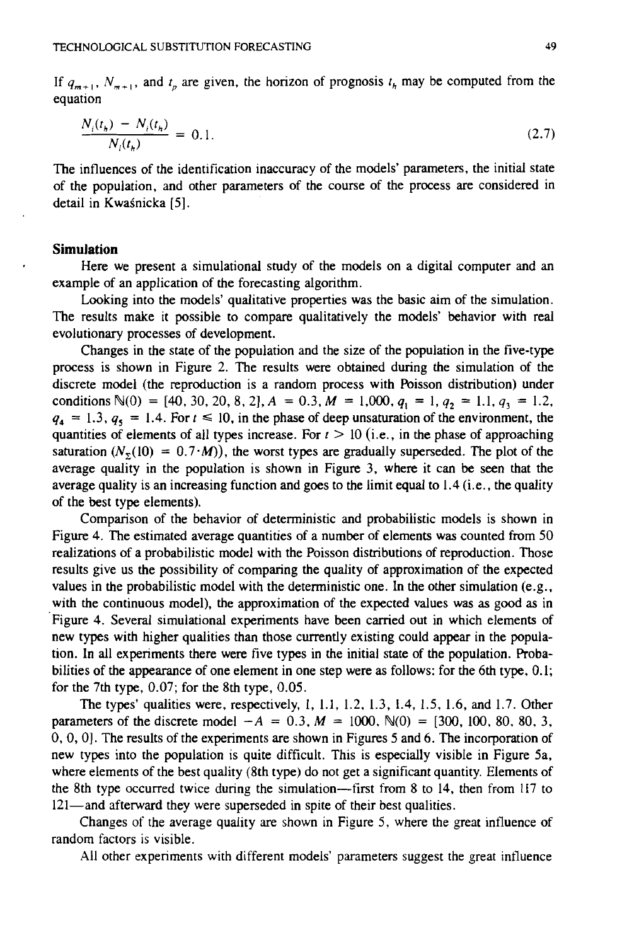If  $q_{m+1}$ ,  $N_{m+1}$ , and  $t_n$  are given, the horizon of prognosis  $t_n$  may be computed from the equation

$$
\frac{N_i(t_h) - N_i(t_h)}{N_i(t_h)} = 0.1.
$$
\n(2.7)

The influences of the identification inaccuracy of the models' parameters, the initial state of the population, and other parameters of the course of the process are considered in detail in Kwaśnicka [5].

## **Simulation**

Here we present a simulational study of the models on a digital computer and an example of an application of the forecasting algorithm.

Looking into the models' qualitative properties was the basic aim of the simulation. The results make it possible to compare qualitatively the models' behavior with real evolutionary processes of development.

Changes in the state of the population and the size of the population in the five-type process is shown in Figure 2. The results were obtained during the simulation of the discrete model (the reproduction is a random process with Poisson distribution) under conditions  $\mathbb{N}(0) = [40, 30, 20, 8, 2], A = 0.3, M = 1,000, q_1 = 1, q_2 = 1.1, q_3 = 1.2,$  $q_4 = 1.3$ ,  $q_5 = 1.4$ . For  $t \le 10$ , in the phase of deep unsaturation of the environment, the quantities of elements of all types increase. For  $t > 10$  (i.e., in the phase of approaching saturation  $(N_{\tau}(10) = 0.7 \cdot M)$ , the worst types are gradually superseded. The plot of the average quality in the population is shown in Figure 3, where it can be seen that the average quality is an increasing function and goes to the limit equal to 1.4 (i.e., the quality of the best type elements).

Comparison of the behavior of deterministic and probabilistic models is shown in Figure 4. The estimated average quantities of a number of elements was counted from 50 realizations of a probabilistic model with the Poisson distributions of reproduction. Those results give us the possibility of comparing the quality of approximation of the expected values in the probabilistic model with the deterministic one. In the other simulation (e.g.. with the continuous model), the approximation of the expected values was **as** good **as** in Figure 4. Several simulational experiments have been carried out in which elements of new types with higher qualities than those currently existing could appear in the population. In all experiments there were five types in the initial state of the population. Probabilities of the appearance of one element in one step were as follows: for the 6th type, 0.1; for the 7th type, 0.07; for the 8th type, 0.05.

The types' qualities were, respectively, 1, 1.1, 1.2. 1.3, 1.4, 1.5, 1.6, and 1.7. Other parameters of the discrete model  $-A = 0.3$ ,  $M = 1000$ ,  $N(0) = [300, 100, 80, 80, 3,$ 0,0,O]. The results of the experiments are shown in Figures 5 and 6. The incorporation of new types into the population is quite difficult. This is especially visible in Figure 5a, where elements of the best quality (8th type) do not get a significant quantity. Elements of the 8th type occurred twice during the simulation-first from 8 to 14, then from 117 to 121—and afterward they were superseded in spite of their best qualities.

Changes of the average quality are shown in Figure *5.* where the great influence of random factors is visible.

All other experiments with different models' parameters suggest the great intluence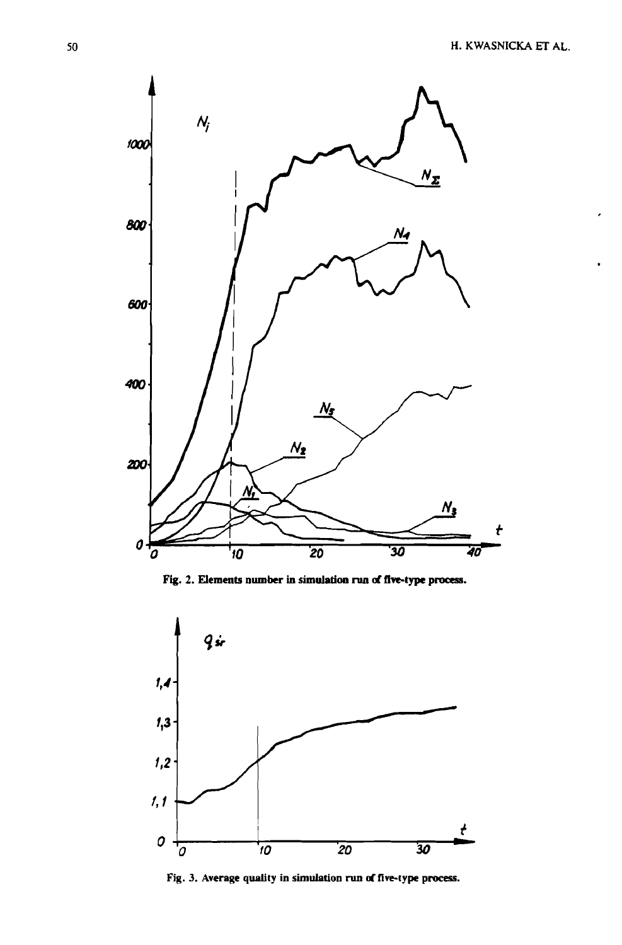

**Fig. 2. Elements number in simulation** run **d 5vc-type pmcesa.** 



**Fig. 3. Average quality in simulation run d five-type process.**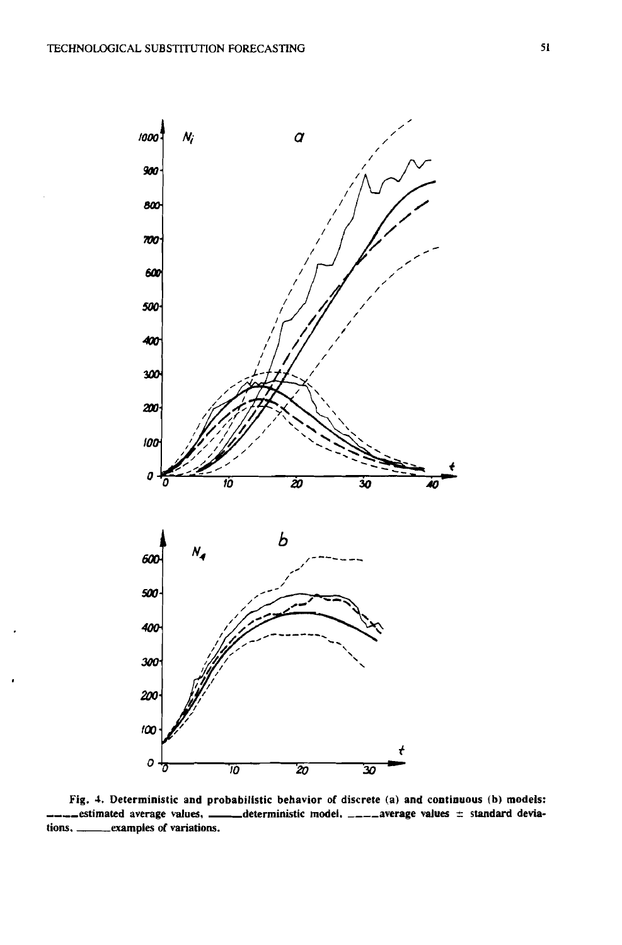

**Fig. 4. Deterministic and probabilistic behavior of discrete (a) and continuous (b) models: --**estimated average values, **\_\_\_\_**deterministic model, \_\_\_\_average values  $\pm$  standard devia**tions. examples of variations.**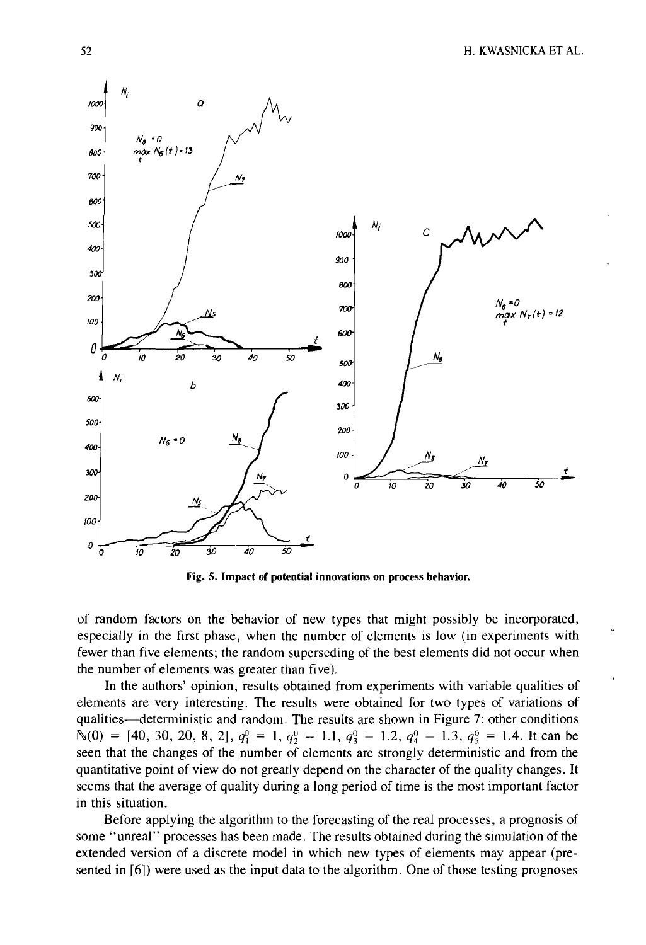

**Fig. 5. Impact of potential innovations on process behavior.** 

of random factors on the behavior of new types that might possibly be incorporated, especially in the first phase, when the number of elements is low (in experiments with fewer than five elements; the random superseding of the best elements did not occur when the number of elements was greater than five).

In the authors' opinion, results obtained from experiments with variable qualities of elements are very interesting. The results were obtained for two types of variations of qualities—deterministic and random. The results are shown in Figure 7; other conditions  $\mathbb{N}(0) = [40, 30, 20, 8, 2], q_1^0 = 1, q_2^0 = 1.1, q_3^0 = 1.2, q_4^0 = 1.3, q_5^0 = 1.4.$  It can be seen that the changes of the number of elements are strongly deterministic and from the quantitative point of view do not greatly depend on the character of the quality changes. It seems that the average of quality during a long period of time is the most important factor in this situation.

Before applying the algorithm to the forecasting of the real processes, a prognosis of some "unreal" processes has been made. The results obtained during the simulation of the extended version of a discrete model in which new types of elements may appear (presented in [6]) were used as the input data to the algorithm. One of those testing prognoses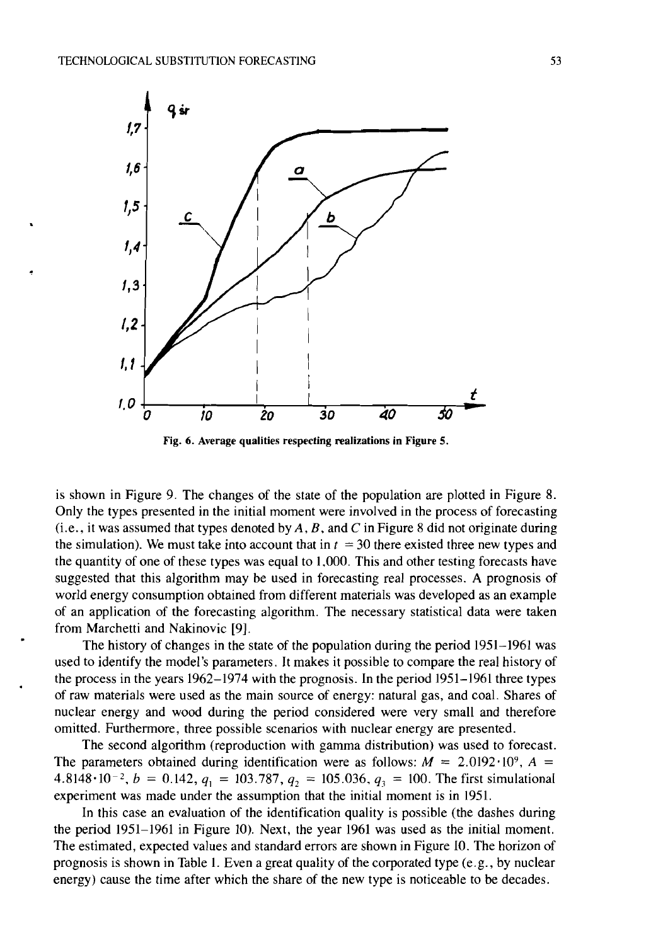

is shown in Figure 9. The changes of the state of the population are plotted in Figure 8. Only the types presented in the initial moment were involved in the process of forecasting  $(i.e., it was assumed that types denoted by  $A, B$ , and  $C$  in Figure 8 did not originate during$ the simulation). We must take into account that in  $t = 30$  there existed three new types and the quantity of one of these types was equal to 1,000. This and other testing forecasts have suggested that this algorithm may be used in forecasting real processes. **A** prognosis of world energy consumption obtained from different materials was developed as an example of an application of the forecasting algorithm. The necessary statistical data were taken from Marchetti and Nakinovic [9].

The history of changes in the state of the population during the period 1951-1961 was used to identify the model's parameters. It makes it possible to compare the real history of the process in the years 1962-1974 with the prognosis. In the period 1951-1961 three types of raw materials were used as the main source of energy: natural gas, and coal. Shares of nuclear energy and wood during the period considered were very small and therefore omitted. Furthermore, three possible scenarios with nuclear energy are presented.

The second algorithm (reproduction with gamma distribution) was used to forecast. The parameters obtained during identification were as follows:  $M = 2.0192 \cdot 10^9$ ,  $A =$ 4.8148.  $10^{-2}$ ,  $b = 0.142$ ,  $q_1 = 103.787$ ,  $q_2 = 105.036$ ,  $q_3 = 100$ . The first simulational experiment was made under the assumption that the initial moment is in 1951.

In this case an evaluation of the identification quality is possible (the dashes during the period 1951-1961 in Figure 10). Next, the year 1961 was used as the initial moment. The estimated, expected values and standard errors are shown in Figure 10. The horizon of prognosis is shown in Table 1. Even a great quality of the corporated type (e.g., by nuclear energy) cause the time after which the share of the new type is noticeable to be decades.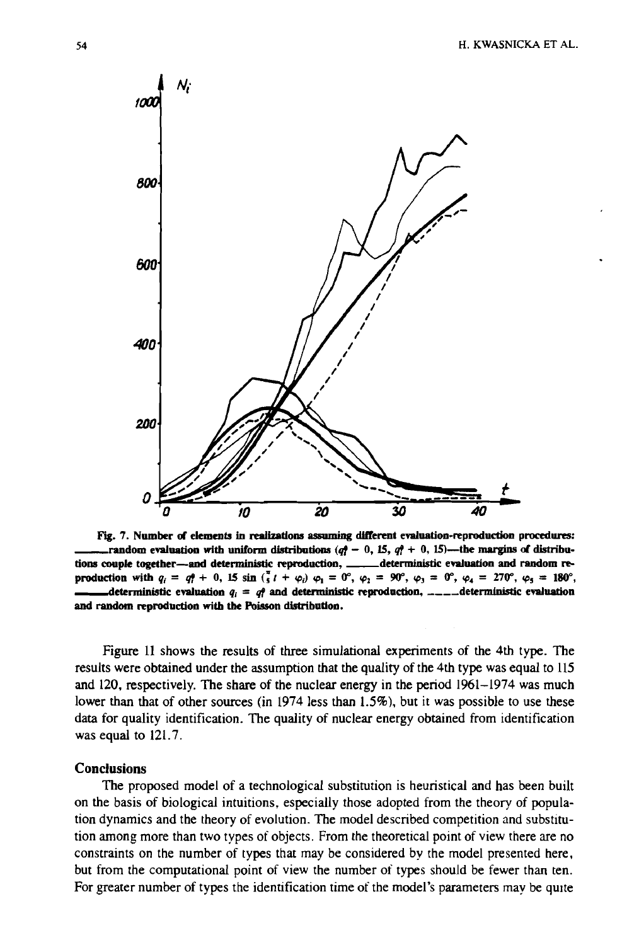

Fig. 7. Number of elements in realizations assuming different evaluation-reproduction procedures: **-random evaluation with uniform distributions**  $(q_1 - 0, 15, q_1 + 0, 15)$ **—the margins of distributions coupk together-aad deterministic repmductioa, deterministic evaluation and random reproduction with**  $q_i = q_i^2 + 0$ , **15**  $\sin(\frac{\pi}{3}t + \varphi_i)$   $\varphi_1 = 0^\circ$ ,  $\varphi_2 = 90^\circ$ ,  $\varphi_3 = 0^\circ$ ,  $\varphi_4 = 270^\circ$ ,  $\varphi_5 = 180^\circ$ , deterministic evaluation  $q_i = q_i^2$  and deterministic reproduction,  $\frac{1}{1-\alpha}$  deterministic evaluation **and random reproduction with** the **Poiason distribution.** 

Figure 11 shows the results of three simulational experiments of the 4th type. The results were obtained under the assumption that the quality of the 4th type was equal to 115 and 120, respectively. The share of the nuclear energy in the period 1961-1974 was much lower than that of other sources (in 1974 less than 1.5%), but it was possible to use these data for quality identification. The quality of nuclear energy obtained from identification was equal to 121.7.

## **Conclusions**

The proposed model of a technological substitution is heuristical and has been built on the basis of biological intuitions, especially those adopted from the theory of population dynamics and the theory of evolution. The model described competition and substitution among more than two types of objects. From the theoretical point of view there are no constraints on the number of types that may be considered by the model presented here, but from the computational point of view the number of types should be fewer than ten. For greater number of types the identification time of the model's parameters may be quite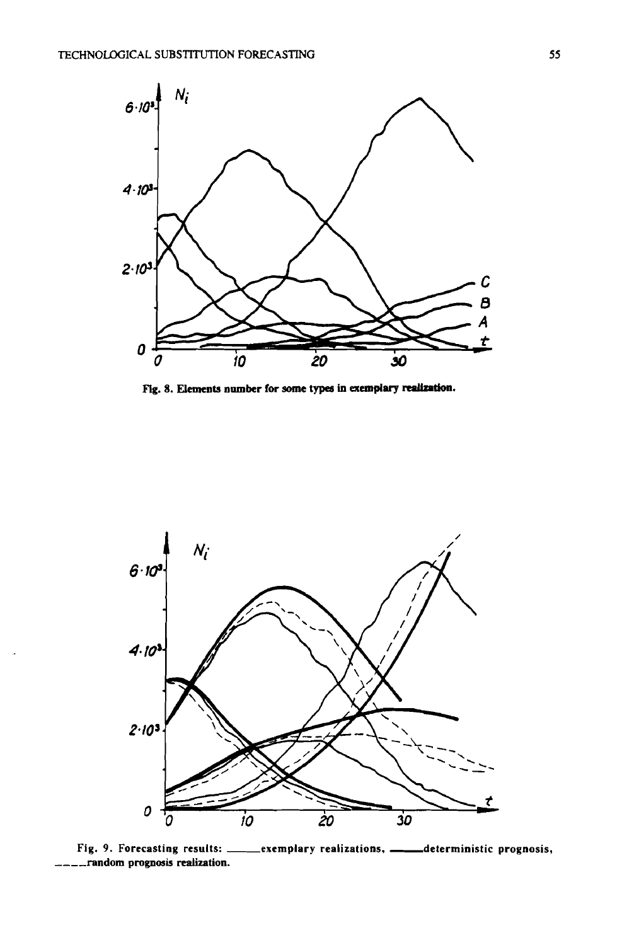

Fig. 8. Elements number for some types in exemplary realization.



Fig. 9. Forecasting results: \_\_\_\_\_exemplary realizations, \_\_\_\_deterministic prognosis, **----rendom prognasis realization.**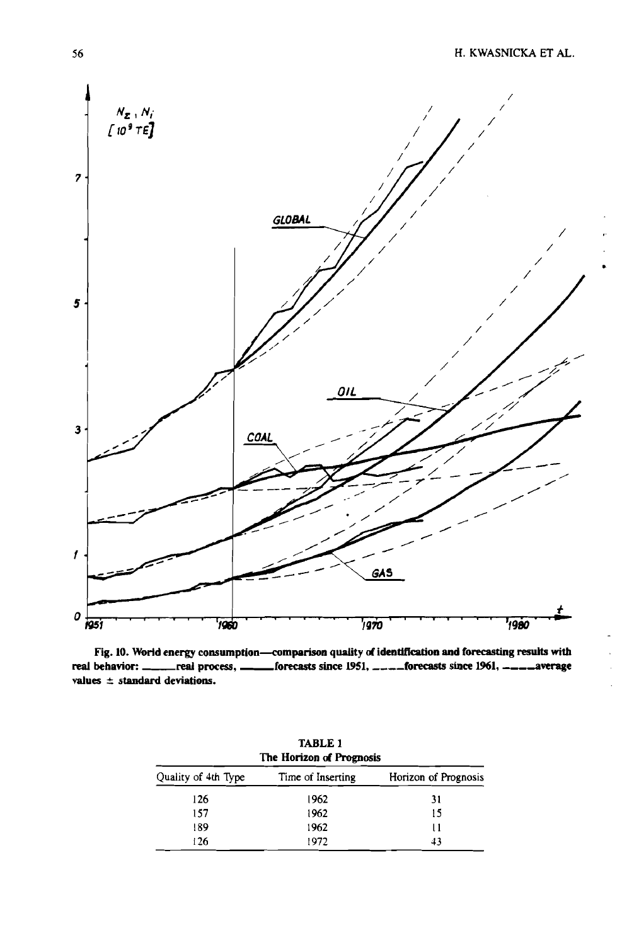

**Fig. 10. World energy consumption-comparison quality of identification and forecasting results witb**  real behavior: \_\_\_\_\_real process, \_\_\_\_\_forecasts since 1951, \_\_\_\_forecasts since 1961, \_\_\_\_average **values** t **standard deviations.** 

| <b>TABLE 1</b><br>The Horizon of Prognosis |                   |                      |
|--------------------------------------------|-------------------|----------------------|
| Quality of 4th Type                        | Time of Inserting | Horizon of Prognosis |
| 126                                        | 1962              | 31                   |
| 157                                        | 1962              | 15                   |
| 189                                        | 1962              | Ħ                    |
| 126                                        | 1972              | 43                   |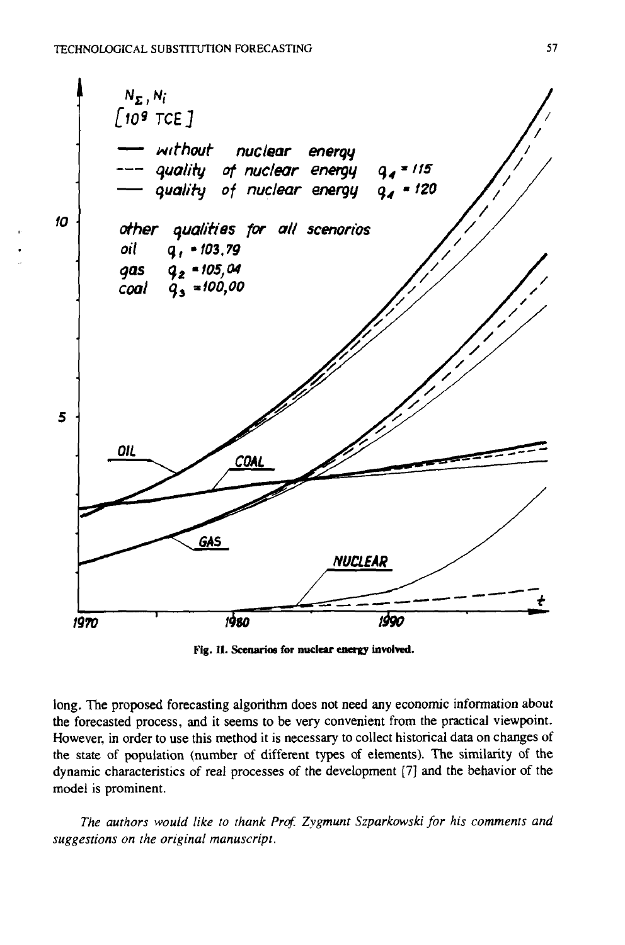

**Fig. ll. Scenarios for nuclear energy involrcd.** 

long. The proposed forecasting algorithm does not need any economic information about the forecasted process, and it seems to be very convenient from the practical viewpoint. However, in order to use this method it is necessary to collect historical data on changes of the state of population (number of different types of elements). The similarity of the dynamic characteristics of real processes of the development [7J and the behavior of the model is prominent.

**The authors would like to thank Prof. Zygmunt Szparkowski for his comments and suggestions on the original manuscript.**